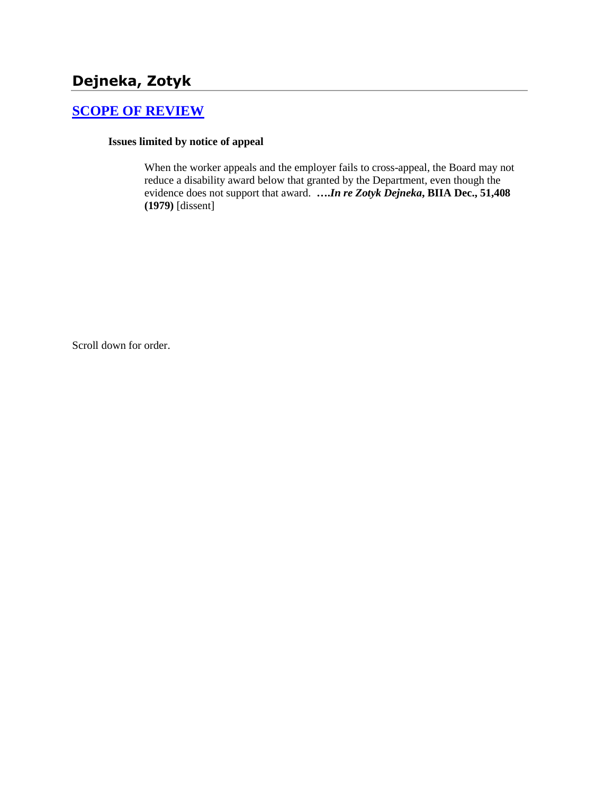# **Dejneka, Zotyk**

## **[SCOPE OF REVIEW](http://www.biia.wa.gov/SDSubjectIndex.html#SCOPE_OF_REVIEW)**

#### **Issues limited by notice of appeal**

When the worker appeals and the employer fails to cross-appeal, the Board may not reduce a disability award below that granted by the Department, even though the evidence does not support that award. **….***In re Zotyk Dejneka***, BIIA Dec., 51,408 (1979)** [dissent]

Scroll down for order.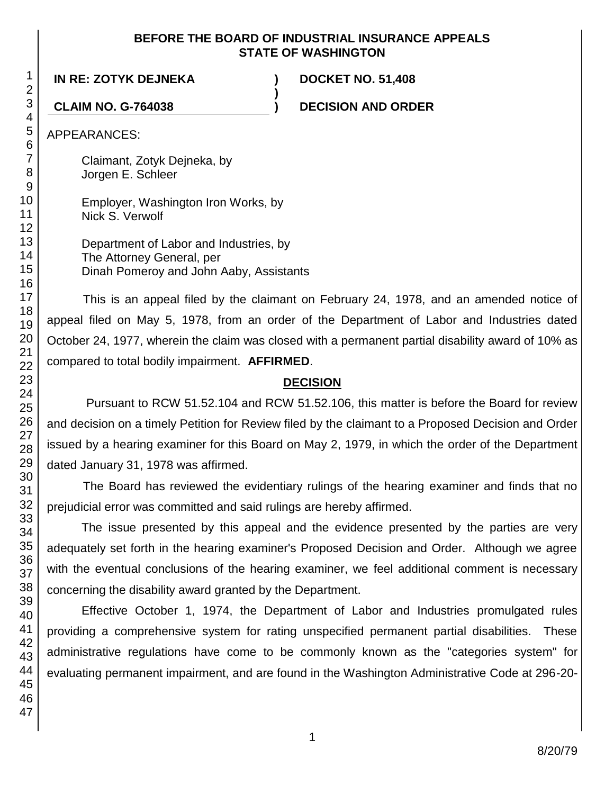### **BEFORE THE BOARD OF INDUSTRIAL INSURANCE APPEALS STATE OF WASHINGTON**

**)**

**IN RE: ZOTYK DEJNEKA ) DOCKET NO. 51,408**

**CLAIM NO. G-764038 ) DECISION AND ORDER**

APPEARANCES:

Claimant, Zotyk Dejneka, by Jorgen E. Schleer

Employer, Washington Iron Works, by Nick S. Verwolf

Department of Labor and Industries, by The Attorney General, per Dinah Pomeroy and John Aaby, Assistants

This is an appeal filed by the claimant on February 24, 1978, and an amended notice of appeal filed on May 5, 1978, from an order of the Department of Labor and Industries dated October 24, 1977, wherein the claim was closed with a permanent partial disability award of 10% as compared to total bodily impairment. **AFFIRMED**.

# **DECISION**

Pursuant to RCW 51.52.104 and RCW 51.52.106, this matter is before the Board for review and decision on a timely Petition for Review filed by the claimant to a Proposed Decision and Order issued by a hearing examiner for this Board on May 2, 1979, in which the order of the Department dated January 31, 1978 was affirmed.

The Board has reviewed the evidentiary rulings of the hearing examiner and finds that no prejudicial error was committed and said rulings are hereby affirmed.

The issue presented by this appeal and the evidence presented by the parties are very adequately set forth in the hearing examiner's Proposed Decision and Order. Although we agree with the eventual conclusions of the hearing examiner, we feel additional comment is necessary concerning the disability award granted by the Department.

Effective October 1, 1974, the Department of Labor and Industries promulgated rules providing a comprehensive system for rating unspecified permanent partial disabilities. These administrative regulations have come to be commonly known as the "categories system" for evaluating permanent impairment, and are found in the Washington Administrative Code at 296-20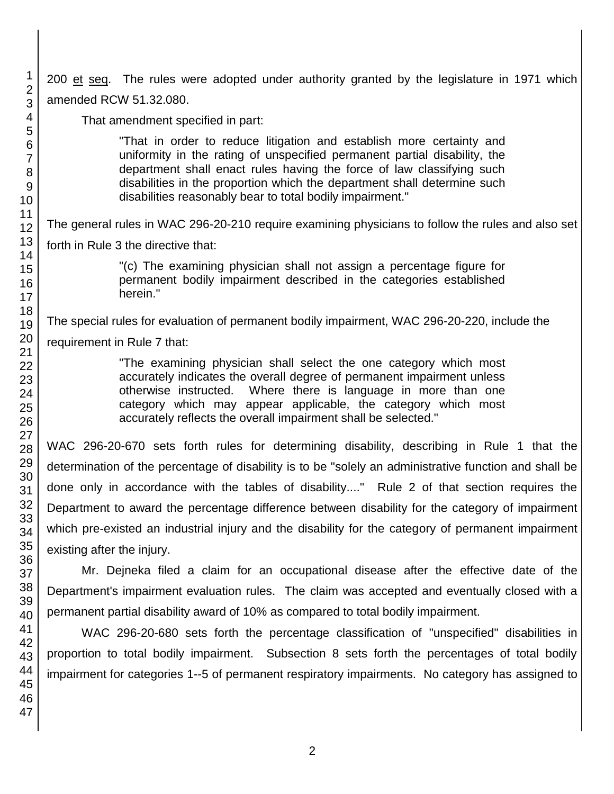200 et seq. The rules were adopted under authority granted by the legislature in 1971 which amended RCW 51.32.080.

That amendment specified in part:

"That in order to reduce litigation and establish more certainty and uniformity in the rating of unspecified permanent partial disability, the department shall enact rules having the force of law classifying such disabilities in the proportion which the department shall determine such disabilities reasonably bear to total bodily impairment."

The general rules in WAC 296-20-210 require examining physicians to follow the rules and also set

forth in Rule 3 the directive that:

"(c) The examining physician shall not assign a percentage figure for permanent bodily impairment described in the categories established herein."

The special rules for evaluation of permanent bodily impairment, WAC 296-20-220, include the

requirement in Rule 7 that:

"The examining physician shall select the one category which most accurately indicates the overall degree of permanent impairment unless otherwise instructed. Where there is language in more than one category which may appear applicable, the category which most accurately reflects the overall impairment shall be selected."

WAC 296-20-670 sets forth rules for determining disability, describing in Rule 1 that the determination of the percentage of disability is to be "solely an administrative function and shall be done only in accordance with the tables of disability...." Rule 2 of that section requires the Department to award the percentage difference between disability for the category of impairment which pre-existed an industrial injury and the disability for the category of permanent impairment existing after the injury.

Mr. Dejneka filed a claim for an occupational disease after the effective date of the Department's impairment evaluation rules. The claim was accepted and eventually closed with a permanent partial disability award of 10% as compared to total bodily impairment.

WAC 296-20-680 sets forth the percentage classification of "unspecified" disabilities in proportion to total bodily impairment. Subsection 8 sets forth the percentages of total bodily impairment for categories 1--5 of permanent respiratory impairments. No category has assigned to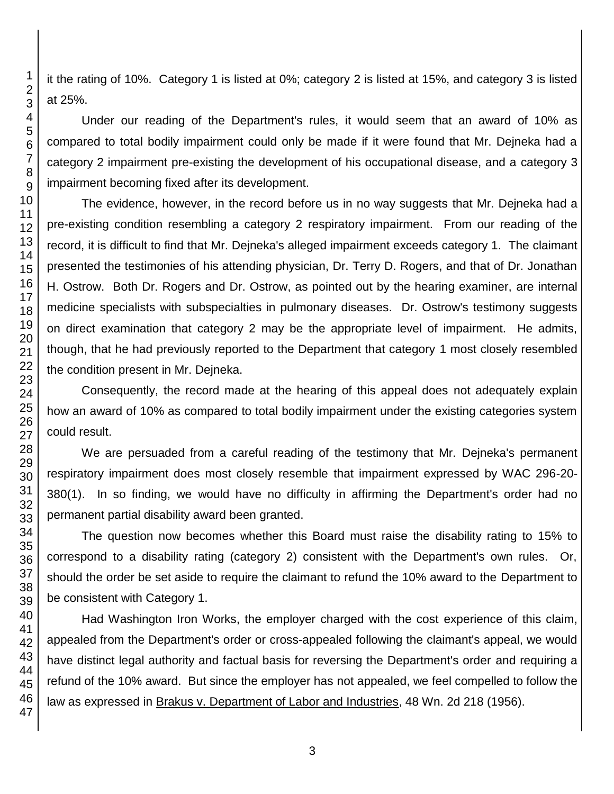it the rating of 10%. Category 1 is listed at 0%; category 2 is listed at 15%, and category 3 is listed at 25%.

Under our reading of the Department's rules, it would seem that an award of 10% as compared to total bodily impairment could only be made if it were found that Mr. Dejneka had a category 2 impairment pre-existing the development of his occupational disease, and a category 3 impairment becoming fixed after its development.

The evidence, however, in the record before us in no way suggests that Mr. Dejneka had a pre-existing condition resembling a category 2 respiratory impairment. From our reading of the record, it is difficult to find that Mr. Dejneka's alleged impairment exceeds category 1. The claimant presented the testimonies of his attending physician, Dr. Terry D. Rogers, and that of Dr. Jonathan H. Ostrow. Both Dr. Rogers and Dr. Ostrow, as pointed out by the hearing examiner, are internal medicine specialists with subspecialties in pulmonary diseases. Dr. Ostrow's testimony suggests on direct examination that category 2 may be the appropriate level of impairment. He admits, though, that he had previously reported to the Department that category 1 most closely resembled the condition present in Mr. Dejneka.

Consequently, the record made at the hearing of this appeal does not adequately explain how an award of 10% as compared to total bodily impairment under the existing categories system could result.

We are persuaded from a careful reading of the testimony that Mr. Dejneka's permanent respiratory impairment does most closely resemble that impairment expressed by WAC 296-20- 380(1). In so finding, we would have no difficulty in affirming the Department's order had no permanent partial disability award been granted.

The question now becomes whether this Board must raise the disability rating to 15% to correspond to a disability rating (category 2) consistent with the Department's own rules. Or, should the order be set aside to require the claimant to refund the 10% award to the Department to be consistent with Category 1.

Had Washington Iron Works, the employer charged with the cost experience of this claim, appealed from the Department's order or cross-appealed following the claimant's appeal, we would have distinct legal authority and factual basis for reversing the Department's order and requiring a refund of the 10% award. But since the employer has not appealed, we feel compelled to follow the law as expressed in Brakus v. Department of Labor and Industries, 48 Wn. 2d 218 (1956).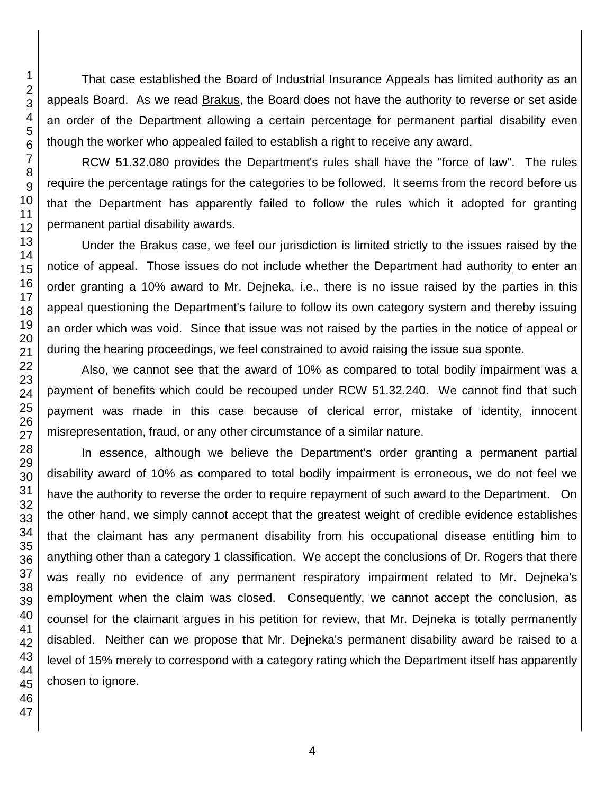That case established the Board of Industrial Insurance Appeals has limited authority as an appeals Board. As we read Brakus, the Board does not have the authority to reverse or set aside an order of the Department allowing a certain percentage for permanent partial disability even though the worker who appealed failed to establish a right to receive any award.

RCW 51.32.080 provides the Department's rules shall have the "force of law". The rules require the percentage ratings for the categories to be followed. It seems from the record before us that the Department has apparently failed to follow the rules which it adopted for granting permanent partial disability awards.

Under the Brakus case, we feel our jurisdiction is limited strictly to the issues raised by the notice of appeal. Those issues do not include whether the Department had authority to enter an order granting a 10% award to Mr. Dejneka, i.e., there is no issue raised by the parties in this appeal questioning the Department's failure to follow its own category system and thereby issuing an order which was void. Since that issue was not raised by the parties in the notice of appeal or during the hearing proceedings, we feel constrained to avoid raising the issue sua sponte.

Also, we cannot see that the award of 10% as compared to total bodily impairment was a payment of benefits which could be recouped under RCW 51.32.240. We cannot find that such payment was made in this case because of clerical error, mistake of identity, innocent misrepresentation, fraud, or any other circumstance of a similar nature.

In essence, although we believe the Department's order granting a permanent partial disability award of 10% as compared to total bodily impairment is erroneous, we do not feel we have the authority to reverse the order to require repayment of such award to the Department. On the other hand, we simply cannot accept that the greatest weight of credible evidence establishes that the claimant has any permanent disability from his occupational disease entitling him to anything other than a category 1 classification. We accept the conclusions of Dr. Rogers that there was really no evidence of any permanent respiratory impairment related to Mr. Dejneka's employment when the claim was closed. Consequently, we cannot accept the conclusion, as counsel for the claimant argues in his petition for review, that Mr. Dejneka is totally permanently disabled. Neither can we propose that Mr. Dejneka's permanent disability award be raised to a level of 15% merely to correspond with a category rating which the Department itself has apparently chosen to ignore.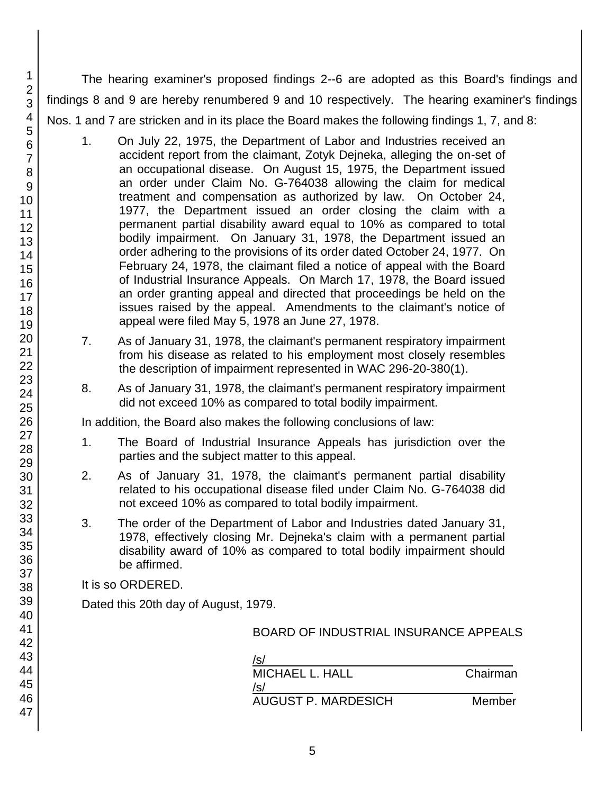The hearing examiner's proposed findings 2--6 are adopted as this Board's findings and findings 8 and 9 are hereby renumbered 9 and 10 respectively. The hearing examiner's findings Nos. 1 and 7 are stricken and in its place the Board makes the following findings 1, 7, and 8:

- 1. On July 22, 1975, the Department of Labor and Industries received an accident report from the claimant, Zotyk Dejneka, alleging the on-set of an occupational disease. On August 15, 1975, the Department issued an order under Claim No. G-764038 allowing the claim for medical treatment and compensation as authorized by law. On October 24, 1977, the Department issued an order closing the claim with a permanent partial disability award equal to 10% as compared to total bodily impairment. On January 31, 1978, the Department issued an order adhering to the provisions of its order dated October 24, 1977. On February 24, 1978, the claimant filed a notice of appeal with the Board of Industrial Insurance Appeals. On March 17, 1978, the Board issued an order granting appeal and directed that proceedings be held on the issues raised by the appeal. Amendments to the claimant's notice of appeal were filed May 5, 1978 an June 27, 1978.
- 7. As of January 31, 1978, the claimant's permanent respiratory impairment from his disease as related to his employment most closely resembles the description of impairment represented in WAC 296-20-380(1).
- 8. As of January 31, 1978, the claimant's permanent respiratory impairment did not exceed 10% as compared to total bodily impairment.

In addition, the Board also makes the following conclusions of law:

- 1. The Board of Industrial Insurance Appeals has jurisdiction over the parties and the subject matter to this appeal.
- 2. As of January 31, 1978, the claimant's permanent partial disability related to his occupational disease filed under Claim No. G-764038 did not exceed 10% as compared to total bodily impairment.
- 3. The order of the Department of Labor and Industries dated January 31, 1978, effectively closing Mr. Dejneka's claim with a permanent partial disability award of 10% as compared to total bodily impairment should be affirmed.

It is so ORDERED.

Dated this 20th day of August, 1979.

| /s/                        |          |
|----------------------------|----------|
| MICHAEL L. HALL            | Chairman |
| /s/                        |          |
| <b>AUGUST P. MARDESICH</b> | Member   |